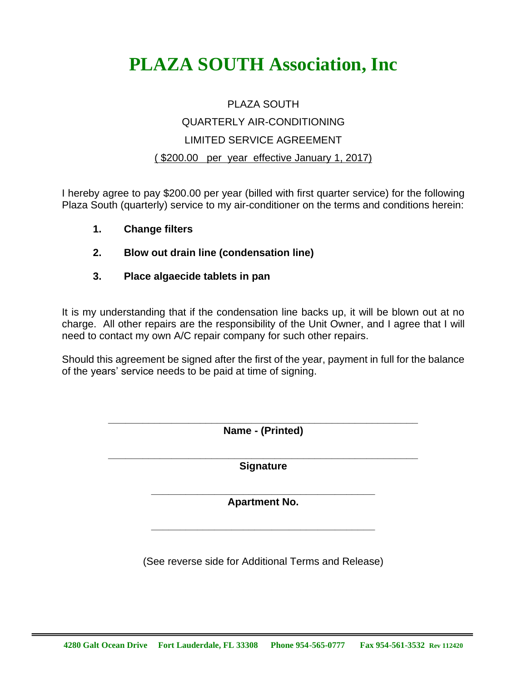## **PLAZA SOUTH Association, Inc**

## PLAZA SOUTH QUARTERLY AIR-CONDITIONING LIMITED SERVICE AGREEMENT ( \$200.00 per year effective January 1, 2017)

I hereby agree to pay \$200.00 per year (billed with first quarter service) for the following Plaza South (quarterly) service to my air-conditioner on the terms and conditions herein:

- **1. Change filters**
- **2. Blow out drain line (condensation line)**
- **3. Place algaecide tablets in pan**

It is my understanding that if the condensation line backs up, it will be blown out at no charge. All other repairs are the responsibility of the Unit Owner, and I agree that I will need to contact my own A/C repair company for such other repairs.

Should this agreement be signed after the first of the year, payment in full for the balance of the years' service needs to be paid at time of signing.